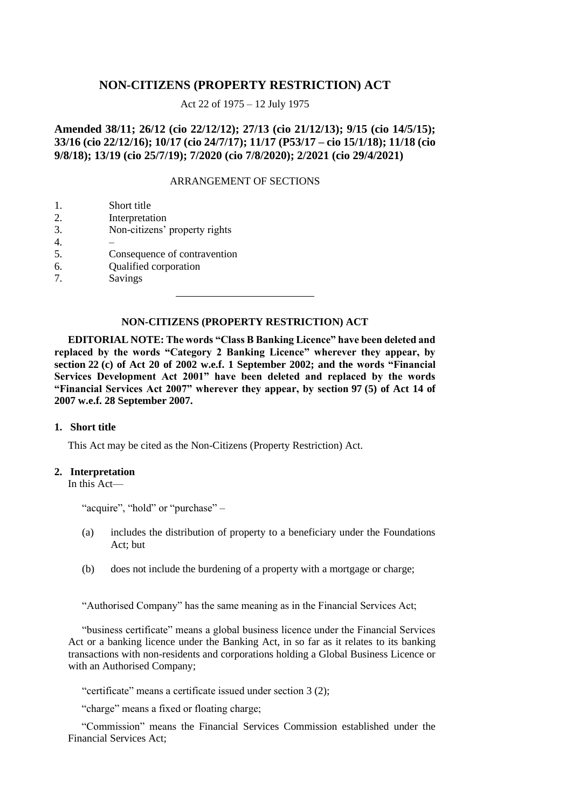# **NON-CITIZENS (PROPERTY RESTRICTION) ACT**

Act 22 of 1975 – 12 July 1975

# **Amended 38/11; 26/12 (cio 22/12/12); 27/13 (cio 21/12/13); 9/15 (cio 14/5/15); 33/16 (cio 22/12/16); 10/17 (cio 24/7/17); 11/17 (P53/17 – cio 15/1/18); 11/18 (cio 9/8/18); 13/19 (cio 25/7/19); 7/2020 (cio 7/8/2020); 2/2021 (cio 29/4/2021)**

## ARRANGEMENT OF SECTIONS

| -1. | Short title                   |
|-----|-------------------------------|
| 2.  | Interpretation                |
| 3.  | Non-citizens' property rights |
|     |                               |

- 4. –
- 5. Consequence of contravention
- 6. Qualified corporation
- 7. Savings

### **NON-CITIZENS (PROPERTY RESTRICTION) ACT**

**EDITORIAL NOTE: The words "Class B Banking Licence" have been deleted and replaced by the words "Category 2 Banking Licence" wherever they appear, by section 22 (c) of Act 20 of 2002 w.e.f. 1 September 2002; and the words "Financial Services Development Act 2001" have been deleted and replaced by the words "Financial Services Act 2007" wherever they appear, by section 97 (5) of Act 14 of 2007 w.e.f. 28 September 2007.**

## **1. Short title**

This Act may be cited as the Non-Citizens (Property Restriction) Act.

### **2. Interpretation**

In this Act—

"acquire", "hold" or "purchase" –

- (a) includes the distribution of property to a beneficiary under the Foundations Act; but
- (b) does not include the burdening of a property with a mortgage or charge;

"Authorised Company" has the same meaning as in the Financial Services Act;

"business certificate" means a global business licence under the Financial Services Act or a banking licence under the Banking Act, in so far as it relates to its banking transactions with non-residents and corporations holding a Global Business Licence or with an Authorised Company;

"certificate" means a certificate issued under section 3 (2);

"charge" means a fixed or floating charge;

"Commission" means the Financial Services Commission established under the Financial Services Act;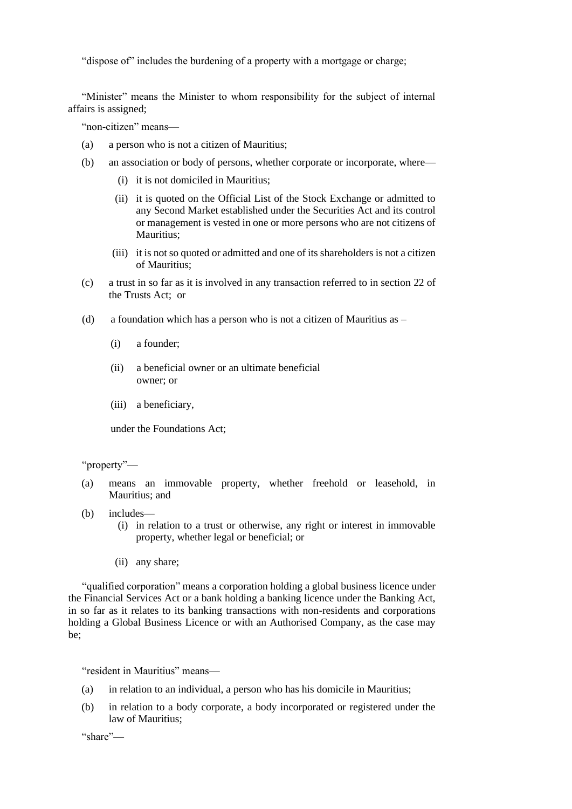"dispose of" includes the burdening of a property with a mortgage or charge;

"Minister" means the Minister to whom responsibility for the subject of internal affairs is assigned;

"non-citizen" means—

- (a) a person who is not a citizen of Mauritius;
- (b) an association or body of persons, whether corporate or incorporate, where—
	- (i) it is not domiciled in Mauritius;
	- (ii) it is quoted on the Official List of the Stock Exchange or admitted to any Second Market established under the Securities Act and its control or management is vested in one or more persons who are not citizens of Mauritius;
	- (iii) it is not so quoted or admitted and one of its shareholders is not a citizen of Mauritius;
- (c) a trust in so far as it is involved in any transaction referred to in section 22 of the Trusts Act; or
- (d) a foundation which has a person who is not a citizen of Mauritius as  $-$ 
	- (i) a founder;
	- (ii) a beneficial owner or an ultimate beneficial owner; or
	- (iii) a beneficiary,

under the Foundations Act;

## "property"—

- (a) means an immovable property, whether freehold or leasehold, in Mauritius; and
- (b) includes—
	- (i) in relation to a trust or otherwise, any right or interest in immovable property, whether legal or beneficial; or
	- (ii) any share;

"qualified corporation" means a corporation holding a global business licence under the Financial Services Act or a bank holding a banking licence under the Banking Act, in so far as it relates to its banking transactions with non-residents and corporations holding a Global Business Licence or with an Authorised Company, as the case may be;

"resident in Mauritius" means—

- (a) in relation to an individual, a person who has his domicile in Mauritius;
- (b) in relation to a body corporate, a body incorporated or registered under the law of Mauritius;

"share"—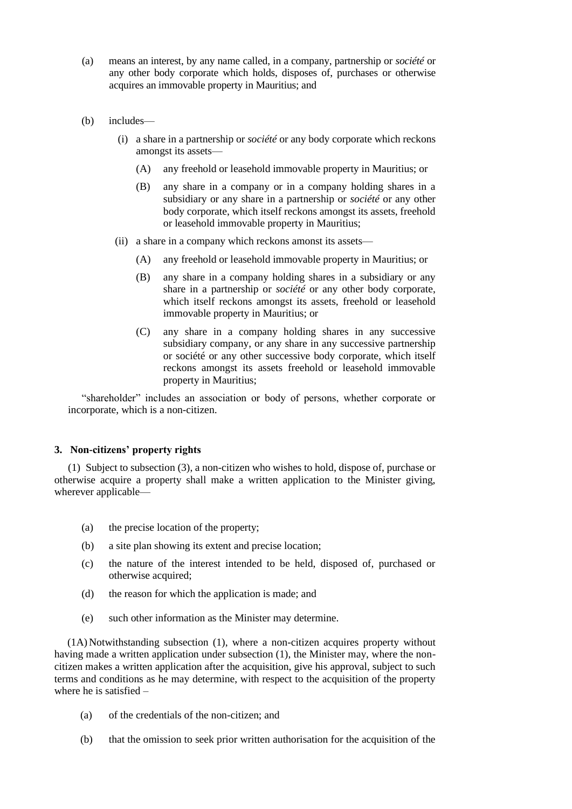- (a) means an interest, by any name called, in a company, partnership or *société* or any other body corporate which holds, disposes of, purchases or otherwise acquires an immovable property in Mauritius; and
- (b) includes—
	- (i) a share in a partnership or *société* or any body corporate which reckons amongst its assets—
		- (A) any freehold or leasehold immovable property in Mauritius; or
		- (B) any share in a company or in a company holding shares in a subsidiary or any share in a partnership or *société* or any other body corporate, which itself reckons amongst its assets, freehold or leasehold immovable property in Mauritius;
	- (ii) a share in a company which reckons amonst its assets—
		- (A) any freehold or leasehold immovable property in Mauritius; or
		- (B) any share in a company holding shares in a subsidiary or any share in a partnership or *société* or any other body corporate, which itself reckons amongst its assets, freehold or leasehold immovable property in Mauritius; or
		- (C) any share in a company holding shares in any successive subsidiary company, or any share in any successive partnership or société or any other successive body corporate, which itself reckons amongst its assets freehold or leasehold immovable property in Mauritius;

"shareholder" includes an association or body of persons, whether corporate or incorporate, which is a non-citizen.

## **3. Non-citizens' property rights**

(1) Subject to subsection (3), a non-citizen who wishes to hold, dispose of, purchase or otherwise acquire a property shall make a written application to the Minister giving, wherever applicable—

- (a) the precise location of the property;
- (b) a site plan showing its extent and precise location;
- (c) the nature of the interest intended to be held, disposed of, purchased or otherwise acquired;
- (d) the reason for which the application is made; and
- (e) such other information as the Minister may determine.

(1A) Notwithstanding subsection (1), where a non-citizen acquires property without having made a written application under subsection (1), the Minister may, where the noncitizen makes a written application after the acquisition, give his approval, subject to such terms and conditions as he may determine, with respect to the acquisition of the property where he is satisfied –

- (a) of the credentials of the non-citizen; and
- (b) that the omission to seek prior written authorisation for the acquisition of the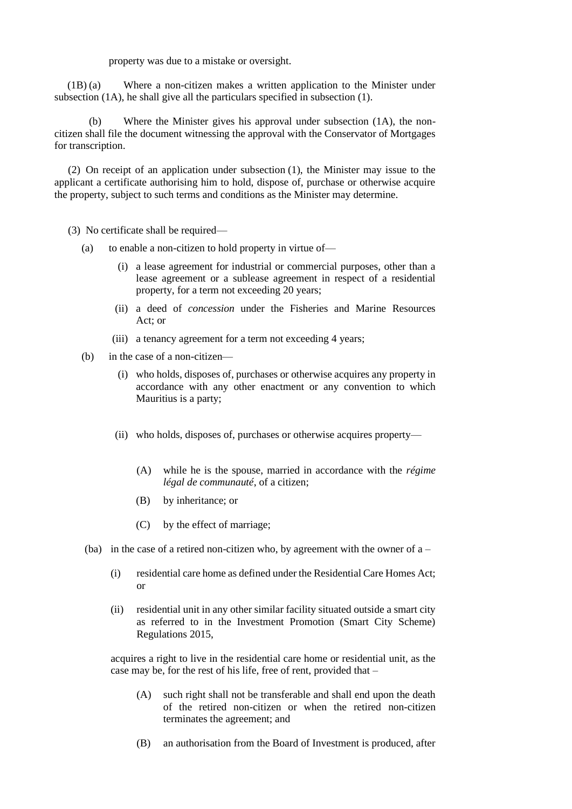property was due to a mistake or oversight.

(1B) (a) Where a non-citizen makes a written application to the Minister under subsection (1A), he shall give all the particulars specified in subsection (1).

(b) Where the Minister gives his approval under subsection (1A), the noncitizen shall file the document witnessing the approval with the Conservator of Mortgages for transcription.

(2) On receipt of an application under subsection (1), the Minister may issue to the applicant a certificate authorising him to hold, dispose of, purchase or otherwise acquire the property, subject to such terms and conditions as the Minister may determine.

- (3) No certificate shall be required—
	- (a) to enable a non-citizen to hold property in virtue of—
		- (i) a lease agreement for industrial or commercial purposes, other than a lease agreement or a sublease agreement in respect of a residential property, for a term not exceeding 20 years;
		- (ii) a deed of *concession* under the Fisheries and Marine Resources Act; or
		- (iii) a tenancy agreement for a term not exceeding 4 years;
	- (b) in the case of a non-citizen—
		- (i) who holds, disposes of, purchases or otherwise acquires any property in accordance with any other enactment or any convention to which Mauritius is a party;
		- (ii) who holds, disposes of, purchases or otherwise acquires property—
			- (A) while he is the spouse, married in accordance with the *régime légal de communauté*, of a citizen;
			- (B) by inheritance; or
			- (C) by the effect of marriage;
	- (ba) in the case of a retired non-citizen who, by agreement with the owner of  $a -$ 
		- (i) residential care home as defined under the Residential Care Homes Act; or
		- (ii) residential unit in any other similar facility situated outside a smart city as referred to in the Investment Promotion (Smart City Scheme) Regulations 2015,

acquires a right to live in the residential care home or residential unit, as the case may be, for the rest of his life, free of rent, provided that –

- (A) such right shall not be transferable and shall end upon the death of the retired non-citizen or when the retired non-citizen terminates the agreement; and
- (B) an authorisation from the Board of Investment is produced, after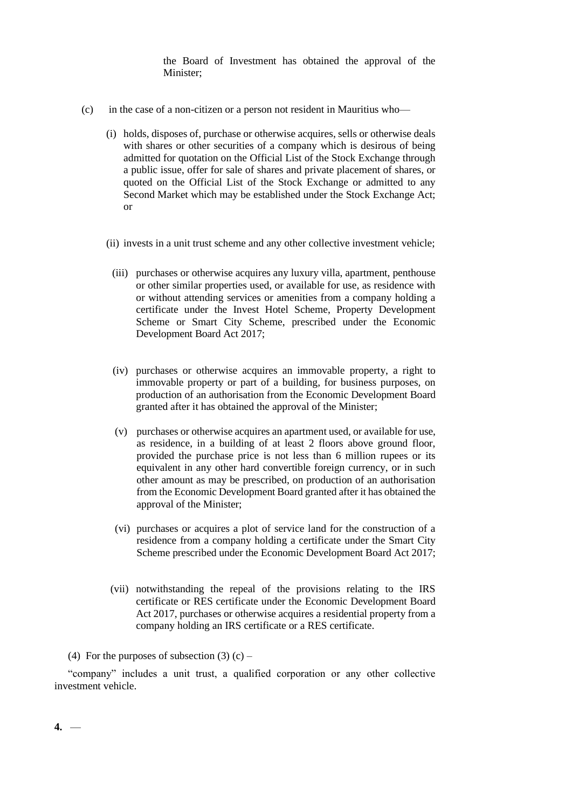the Board of Investment has obtained the approval of the Minister;

- (c) in the case of a non-citizen or a person not resident in Mauritius who—
	- (i) holds, disposes of, purchase or otherwise acquires, sells or otherwise deals with shares or other securities of a company which is desirous of being admitted for quotation on the Official List of the Stock Exchange through a public issue, offer for sale of shares and private placement of shares, or quoted on the Official List of the Stock Exchange or admitted to any Second Market which may be established under the Stock Exchange Act; or
	- (ii) invests in a unit trust scheme and any other collective investment vehicle;
		- (iii) purchases or otherwise acquires any luxury villa, apartment, penthouse or other similar properties used, or available for use, as residence with or without attending services or amenities from a company holding a certificate under the Invest Hotel Scheme, Property Development Scheme or Smart City Scheme, prescribed under the Economic Development Board Act 2017;
		- (iv) purchases or otherwise acquires an immovable property, a right to immovable property or part of a building, for business purposes, on production of an authorisation from the Economic Development Board granted after it has obtained the approval of the Minister;
		- (v) purchases or otherwise acquires an apartment used, or available for use, as residence, in a building of at least 2 floors above ground floor, provided the purchase price is not less than 6 million rupees or its equivalent in any other hard convertible foreign currency, or in such other amount as may be prescribed, on production of an authorisation from the Economic Development Board granted after it has obtained the approval of the Minister;
		- (vi) purchases or acquires a plot of service land for the construction of a residence from a company holding a certificate under the Smart City Scheme prescribed under the Economic Development Board Act 2017;
	- (vii) notwithstanding the repeal of the provisions relating to the IRS certificate or RES certificate under the Economic Development Board Act 2017, purchases or otherwise acquires a residential property from a company holding an IRS certificate or a RES certificate.
- (4) For the purposes of subsection  $(3)$  (c) –

"company" includes a unit trust, a qualified corporation or any other collective investment vehicle.

**4.** —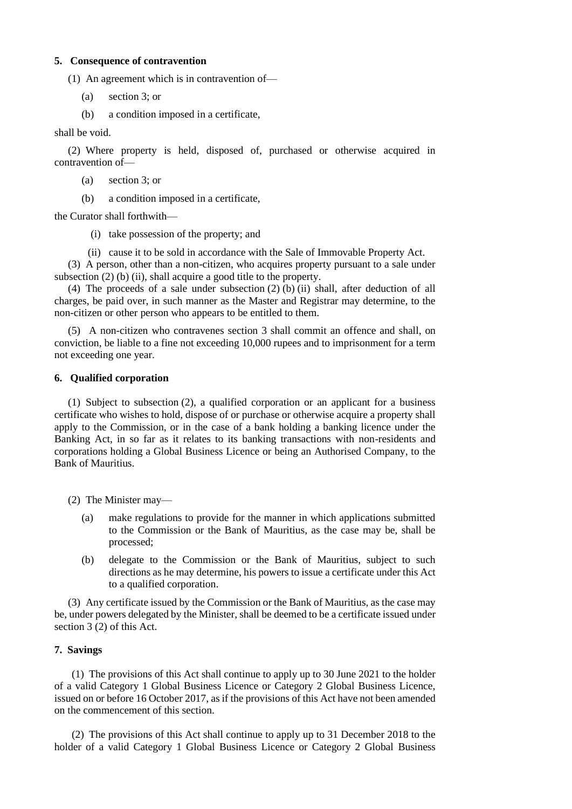#### **5. Consequence of contravention**

(1) An agreement which is in contravention of—

- (a) section 3; or
- (b) a condition imposed in a certificate,

shall be void.

(2) Where property is held, disposed of, purchased or otherwise acquired in contravention of—

- (a) section 3; or
- (b) a condition imposed in a certificate,

the Curator shall forthwith—

(i) take possession of the property; and

(ii) cause it to be sold in accordance with the Sale of Immovable Property Act.

(3) A person, other than a non-citizen, who acquires property pursuant to a sale under subsection (2) (b) (ii), shall acquire a good title to the property.

(4) The proceeds of a sale under subsection  $(2)$  (b) (ii) shall, after deduction of all charges, be paid over, in such manner as the Master and Registrar may determine, to the non-citizen or other person who appears to be entitled to them.

(5) A non-citizen who contravenes section 3 shall commit an offence and shall, on conviction, be liable to a fine not exceeding 10,000 rupees and to imprisonment for a term not exceeding one year.

## **6. Qualified corporation**

(1) Subject to subsection (2), a qualified corporation or an applicant for a business certificate who wishes to hold, dispose of or purchase or otherwise acquire a property shall apply to the Commission, or in the case of a bank holding a banking licence under the Banking Act, in so far as it relates to its banking transactions with non-residents and corporations holding a Global Business Licence or being an Authorised Company, to the Bank of Mauritius.

(2) The Minister may—

- (a) make regulations to provide for the manner in which applications submitted to the Commission or the Bank of Mauritius, as the case may be, shall be processed;
- (b) delegate to the Commission or the Bank of Mauritius, subject to such directions as he may determine, his powers to issue a certificate under this Act to a qualified corporation.

(3) Any certificate issued by the Commission or the Bank of Mauritius, as the case may be, under powers delegated by the Minister, shall be deemed to be a certificate issued under section 3 (2) of this Act.

## **7. Savings**

(1) The provisions of this Act shall continue to apply up to 30 June 2021 to the holder of a valid Category 1 Global Business Licence or Category 2 Global Business Licence, issued on or before 16 October 2017, as if the provisions of this Act have not been amended on the commencement of this section.

(2) The provisions of this Act shall continue to apply up to 31 December 2018 to the holder of a valid Category 1 Global Business Licence or Category 2 Global Business